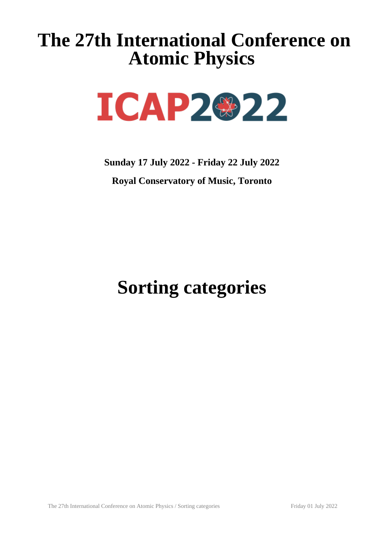# **The 27th International Conference on Atomic Physics**



**Sunday 17 July 2022 - Friday 22 July 2022 Royal Conservatory of Music, Toronto**

**Sorting categories**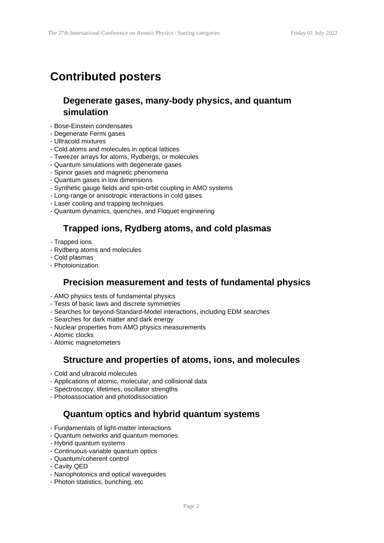# **Contributed posters**

## **Degenerate gases, many-body physics, and quantum simulation**

- Bose-Einstein condensates
- Degenerate Fermi gases
- Ultracold mixtures
- Cold atoms and molecules in optical lattices
- Tweezer arrays for atoms, Rydbergs, or molecules
- Quantum simulations with degenerate gases
- Spinor gases and magnetic phenomena
- Quantum gases in low dimensions
- Synthetic gauge fields and spin-orbit coupling in AMO systems
- Long-range or anisotropic interactions in cold gases
- Laser cooling and trapping techniques
- Quantum dynamics, quenches, and Floquet engineering

## **Trapped ions, Rydberg atoms, and cold plasmas**

- Trapped ions
- Rydberg atoms and molecules
- Cold plasmas
- Photoionization

#### **Precision measurement and tests of fundamental physics**

- AMO physics tests of fundamental physics
- Tests of basic laws and discrete symmetries
- Searches for beyond-Standard-Model interactions, including EDM searches
- Searches for dark matter and dark energy
- Nuclear properties from AMO physics measurements
- Atomic clocks
- Atomic magnetometers

#### **Structure and properties of atoms, ions, and molecules**

- Cold and ultracold molecules
- Applications of atomic, molecular, and collisional data
- Spectroscopy, lifetimes, oscillator strengths
- Photoassociation and photodissociation

#### **Quantum optics and hybrid quantum systems**

- Fundamentals of light-matter interactions
- Quantum networks and quantum memories
- Hybrid quantum systems
- Continuous-variable quantum optics
- Quantum/coherent control
- Cavity QED
- Nanophotonics and optical waveguides
- Photon statistics, bunching, etc